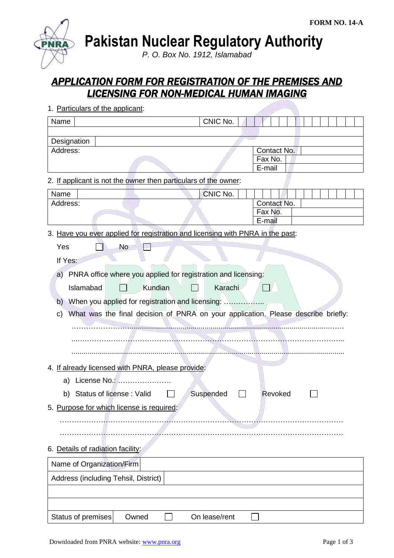**Pakistan Nuclear Regulatory Authority**

*P. O. Box No. 1912, Islamabad*

# *APPLICATION FORM FOR REGISTRATION OF THE PREMISES AND LICENSING FOR NON-MEDICAL HUMAN IMAGING*

| 1. Particulars of the applicant:                                                        |               |                   |
|-----------------------------------------------------------------------------------------|---------------|-------------------|
| Name                                                                                    | CNIC No.      |                   |
|                                                                                         |               |                   |
| Designation                                                                             |               |                   |
| Address:                                                                                |               | Contact No.       |
|                                                                                         |               | Fax No.<br>E-mail |
| 2. If applicant is not the owner then particulars of the owner:                         |               |                   |
| Name                                                                                    | CNIC No.      |                   |
| Address:                                                                                |               | Contact No.       |
|                                                                                         |               | Fax No.           |
|                                                                                         |               | E-mail            |
| 3. Have you ever applied for registration and licensing with PNRA in the past:          |               |                   |
| Yes<br><b>No</b>                                                                        |               |                   |
| If Yes:                                                                                 |               |                   |
| a) PNRA office where you applied for registration and licensing:                        |               |                   |
| Kundian<br>Islamabad                                                                    | Karachi       |                   |
|                                                                                         |               |                   |
| b) When you applied for registration and licensing:                                     |               |                   |
| What was the final decision of PNRA on your application. Please describe briefly:<br>C) |               |                   |
|                                                                                         |               |                   |
|                                                                                         |               |                   |
|                                                                                         |               |                   |
| 4. If already licensed with PNRA, please provide:                                       |               |                   |
|                                                                                         |               |                   |
| License No.:<br>a)                                                                      |               |                   |
| b) Status of license: Valid                                                             | Suspended     | Revoked           |
| 5. Purpose for which license is required:                                               |               |                   |
|                                                                                         |               |                   |
|                                                                                         |               |                   |
| 6. Details of radiation facility:                                                       |               |                   |
| Name of Organization/Firm                                                               |               |                   |
| Address (including Tehsil, District)                                                    |               |                   |
|                                                                                         |               |                   |
|                                                                                         |               |                   |
| Status of premises<br>Owned                                                             | On lease/rent |                   |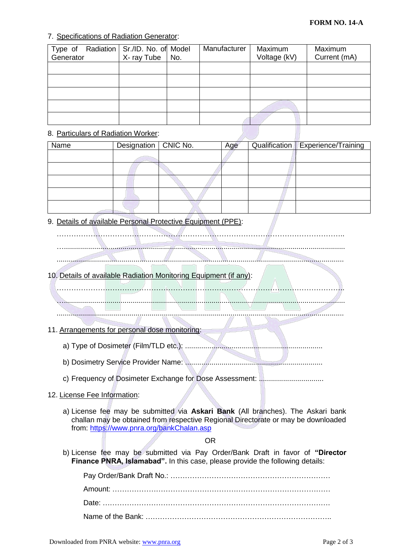# 7. Specifications of Radiation Generator:

| Type of   | Radiation   Sr./ID. No. of Model |     | Manufacturer | Maximum      | Maximum      |
|-----------|----------------------------------|-----|--------------|--------------|--------------|
| Generator | X-ray Tube                       | No. |              | Voltage (kV) | Current (mA) |
|           |                                  |     |              |              |              |
|           |                                  |     |              |              |              |
|           |                                  |     |              |              |              |
|           |                                  |     |              |              |              |
|           |                                  |     |              |              |              |

### 8. Particulars of Radiation Worker:

| Name | Designation   CNIC No. | Age | Qualification   Experience/Training |
|------|------------------------|-----|-------------------------------------|
|      |                        |     |                                     |
|      |                        |     |                                     |
|      |                        |     |                                     |
|      |                        |     |                                     |
|      |                        |     |                                     |

9. Details of available Personal Protective Equipment (PPE):



# 10. Details of available Radiation Monitoring Equipment (if any):

…...........................................................................................................................................

………………………………………………………………………………………………………..

#### ..............................................................................................................................................

## 11. Arrangements for personal dose monitoring:

- a) Type of Dosimeter (Film/TLD etc.): ....................................................................
- b) Dosimetry Service Provider Name: ....................................................................
- c) Frequency of Dosimeter Exchange for Dose Assessment: ................................

## 12. License Fee Information:

a) License fee may be submitted via **Askari Bank** (All branches). The Askari bank challan may be obtained from respective Regional Directorate or may be downloaded from:<https://www.pnra.org/bankChalan.asp>

#### OR

b) License fee may be submitted via Pay Order/Bank Draft in favor of **"Director Finance PNRA, Islamabad".** In this case, please provide the following details: